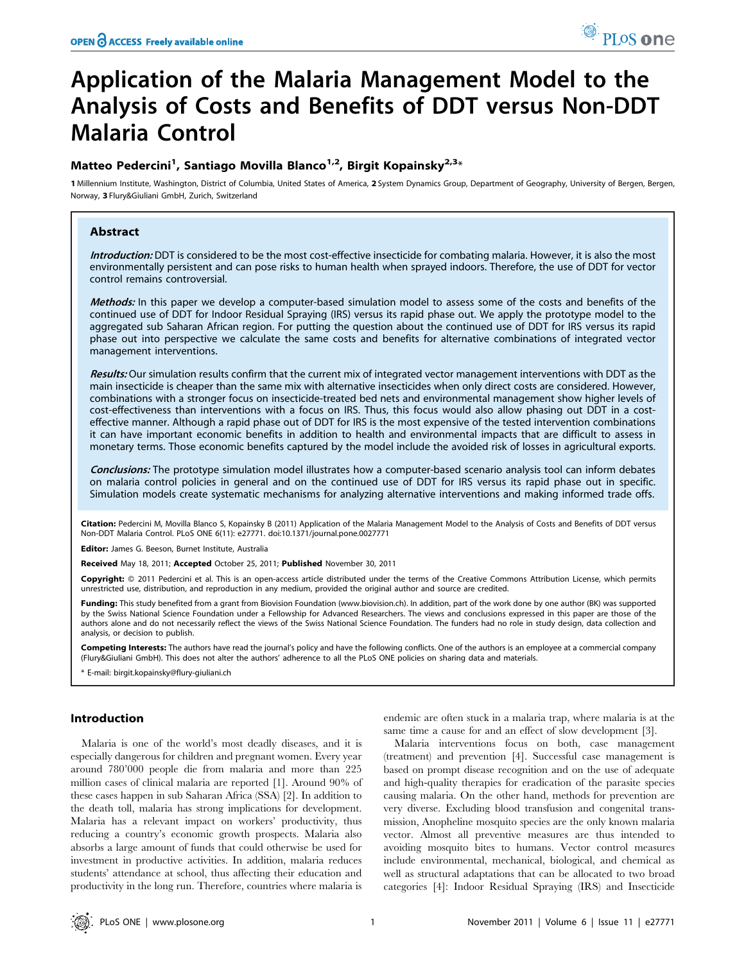# Application of the Malaria Management Model to the Analysis of Costs and Benefits of DDT versus Non-DDT Malaria Control

## Matteo Pedercini<sup>1</sup>, Santiago Movilla Blanco<sup>1,2</sup>, Birgit Kopainsky<sup>2,3</sup>\*

1 Millennium Institute, Washington, District of Columbia, United States of America, 2 System Dynamics Group, Department of Geography, University of Bergen, Bergen, Norway, 3 Flury&Giuliani GmbH, Zurich, Switzerland

## Abstract

Introduction: DDT is considered to be the most cost-effective insecticide for combating malaria. However, it is also the most environmentally persistent and can pose risks to human health when sprayed indoors. Therefore, the use of DDT for vector control remains controversial.

Methods: In this paper we develop a computer-based simulation model to assess some of the costs and benefits of the continued use of DDT for Indoor Residual Spraying (IRS) versus its rapid phase out. We apply the prototype model to the aggregated sub Saharan African region. For putting the question about the continued use of DDT for IRS versus its rapid phase out into perspective we calculate the same costs and benefits for alternative combinations of integrated vector management interventions.

Results: Our simulation results confirm that the current mix of integrated vector management interventions with DDT as the main insecticide is cheaper than the same mix with alternative insecticides when only direct costs are considered. However, combinations with a stronger focus on insecticide-treated bed nets and environmental management show higher levels of cost-effectiveness than interventions with a focus on IRS. Thus, this focus would also allow phasing out DDT in a costeffective manner. Although a rapid phase out of DDT for IRS is the most expensive of the tested intervention combinations it can have important economic benefits in addition to health and environmental impacts that are difficult to assess in monetary terms. Those economic benefits captured by the model include the avoided risk of losses in agricultural exports.

Conclusions: The prototype simulation model illustrates how a computer-based scenario analysis tool can inform debates on malaria control policies in general and on the continued use of DDT for IRS versus its rapid phase out in specific. Simulation models create systematic mechanisms for analyzing alternative interventions and making informed trade offs.

Citation: Pedercini M, Movilla Blanco S, Kopainsky B (2011) Application of the Malaria Management Model to the Analysis of Costs and Benefits of DDT versus Non-DDT Malaria Control. PLoS ONE 6(11): e27771. doi:10.1371/journal.pone.0027771

Editor: James G. Beeson, Burnet Institute, Australia

Received May 18, 2011; Accepted October 25, 2011; Published November 30, 2011

Copyright: © 2011 Pedercini et al. This is an open-access article distributed under the terms of the Creative Commons Attribution License, which permits unrestricted use, distribution, and reproduction in any medium, provided the original author and source are credited.

Funding: This study benefited from a grant from Biovision Foundation (www.biovision.ch). In addition, part of the work done by one author (BK) was supported by the Swiss National Science Foundation under a Fellowship for Advanced Researchers. The views and conclusions expressed in this paper are those of the authors alone and do not necessarily reflect the views of the Swiss National Science Foundation. The funders had no role in study design, data collection and analysis, or decision to publish.

Competing Interests: The authors have read the journal's policy and have the following conflicts. One of the authors is an employee at a commercial company (Flury&Giuliani GmbH). This does not alter the authors' adherence to all the PLoS ONE policies on sharing data and materials.

\* E-mail: birgit.kopainsky@flury-giuliani.ch

## Introduction

Malaria is one of the world's most deadly diseases, and it is especially dangerous for children and pregnant women. Every year around 780'000 people die from malaria and more than 225 million cases of clinical malaria are reported [1]. Around 90% of these cases happen in sub Saharan Africa (SSA) [2]. In addition to the death toll, malaria has strong implications for development. Malaria has a relevant impact on workers' productivity, thus reducing a country's economic growth prospects. Malaria also absorbs a large amount of funds that could otherwise be used for investment in productive activities. In addition, malaria reduces students' attendance at school, thus affecting their education and productivity in the long run. Therefore, countries where malaria is

endemic are often stuck in a malaria trap, where malaria is at the same time a cause for and an effect of slow development [3].

Malaria interventions focus on both, case management (treatment) and prevention [4]. Successful case management is based on prompt disease recognition and on the use of adequate and high-quality therapies for eradication of the parasite species causing malaria. On the other hand, methods for prevention are very diverse. Excluding blood transfusion and congenital transmission, Anopheline mosquito species are the only known malaria vector. Almost all preventive measures are thus intended to avoiding mosquito bites to humans. Vector control measures include environmental, mechanical, biological, and chemical as well as structural adaptations that can be allocated to two broad categories [4]: Indoor Residual Spraying (IRS) and Insecticide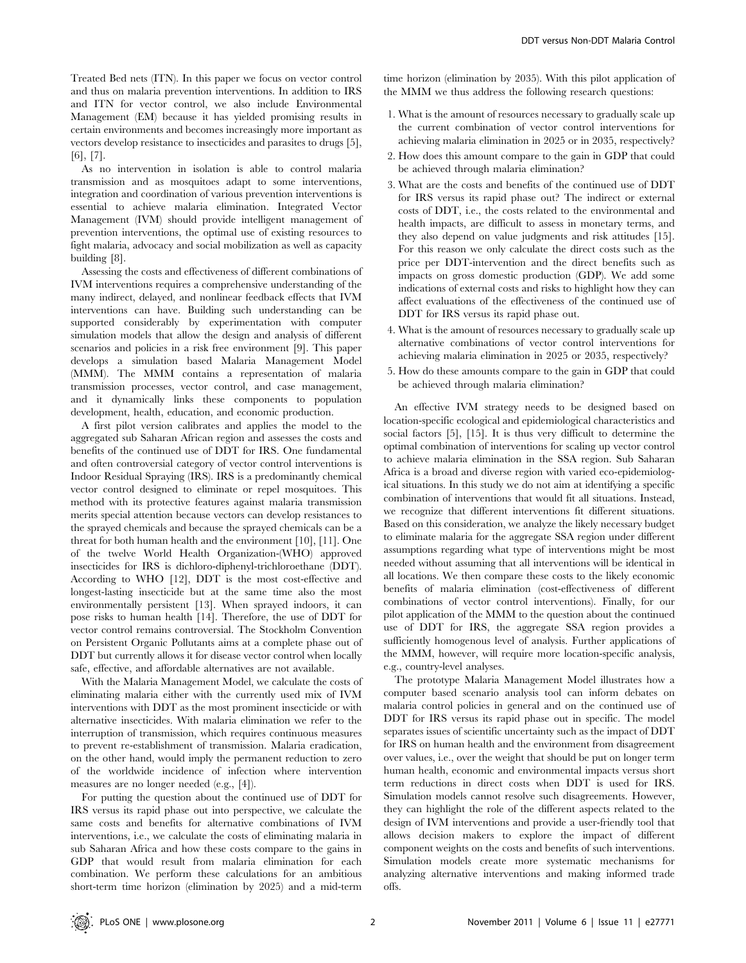As no intervention in isolation is able to control malaria transmission and as mosquitoes adapt to some interventions, integration and coordination of various prevention interventions is essential to achieve malaria elimination. Integrated Vector Management (IVM) should provide intelligent management of prevention interventions, the optimal use of existing resources to fight malaria, advocacy and social mobilization as well as capacity building [8].

Assessing the costs and effectiveness of different combinations of IVM interventions requires a comprehensive understanding of the many indirect, delayed, and nonlinear feedback effects that IVM interventions can have. Building such understanding can be supported considerably by experimentation with computer simulation models that allow the design and analysis of different scenarios and policies in a risk free environment [9]. This paper develops a simulation based Malaria Management Model (MMM). The MMM contains a representation of malaria transmission processes, vector control, and case management, and it dynamically links these components to population development, health, education, and economic production.

A first pilot version calibrates and applies the model to the aggregated sub Saharan African region and assesses the costs and benefits of the continued use of DDT for IRS. One fundamental and often controversial category of vector control interventions is Indoor Residual Spraying (IRS). IRS is a predominantly chemical vector control designed to eliminate or repel mosquitoes. This method with its protective features against malaria transmission merits special attention because vectors can develop resistances to the sprayed chemicals and because the sprayed chemicals can be a threat for both human health and the environment [10], [11]. One of the twelve World Health Organization-(WHO) approved insecticides for IRS is dichloro-diphenyl-trichloroethane (DDT). According to WHO [12], DDT is the most cost-effective and longest-lasting insecticide but at the same time also the most environmentally persistent [13]. When sprayed indoors, it can pose risks to human health [14]. Therefore, the use of DDT for vector control remains controversial. The Stockholm Convention on Persistent Organic Pollutants aims at a complete phase out of DDT but currently allows it for disease vector control when locally safe, effective, and affordable alternatives are not available.

With the Malaria Management Model, we calculate the costs of eliminating malaria either with the currently used mix of IVM interventions with DDT as the most prominent insecticide or with alternative insecticides. With malaria elimination we refer to the interruption of transmission, which requires continuous measures to prevent re-establishment of transmission. Malaria eradication, on the other hand, would imply the permanent reduction to zero of the worldwide incidence of infection where intervention measures are no longer needed (e.g., [4]).

For putting the question about the continued use of DDT for IRS versus its rapid phase out into perspective, we calculate the same costs and benefits for alternative combinations of IVM interventions, i.e., we calculate the costs of eliminating malaria in sub Saharan Africa and how these costs compare to the gains in GDP that would result from malaria elimination for each combination. We perform these calculations for an ambitious short-term time horizon (elimination by 2025) and a mid-term

time horizon (elimination by 2035). With this pilot application of the MMM we thus address the following research questions:

- 1. What is the amount of resources necessary to gradually scale up the current combination of vector control interventions for achieving malaria elimination in 2025 or in 2035, respectively?
- 2. How does this amount compare to the gain in GDP that could be achieved through malaria elimination?
- 3. What are the costs and benefits of the continued use of DDT for IRS versus its rapid phase out? The indirect or external costs of DDT, i.e., the costs related to the environmental and health impacts, are difficult to assess in monetary terms, and they also depend on value judgments and risk attitudes [15]. For this reason we only calculate the direct costs such as the price per DDT-intervention and the direct benefits such as impacts on gross domestic production (GDP). We add some indications of external costs and risks to highlight how they can affect evaluations of the effectiveness of the continued use of DDT for IRS versus its rapid phase out.
- 4. What is the amount of resources necessary to gradually scale up alternative combinations of vector control interventions for achieving malaria elimination in 2025 or 2035, respectively?
- 5. How do these amounts compare to the gain in GDP that could be achieved through malaria elimination?

An effective IVM strategy needs to be designed based on location-specific ecological and epidemiological characteristics and social factors [5], [15]. It is thus very difficult to determine the optimal combination of interventions for scaling up vector control to achieve malaria elimination in the SSA region. Sub Saharan Africa is a broad and diverse region with varied eco-epidemiological situations. In this study we do not aim at identifying a specific combination of interventions that would fit all situations. Instead, we recognize that different interventions fit different situations. Based on this consideration, we analyze the likely necessary budget to eliminate malaria for the aggregate SSA region under different assumptions regarding what type of interventions might be most needed without assuming that all interventions will be identical in all locations. We then compare these costs to the likely economic benefits of malaria elimination (cost-effectiveness of different combinations of vector control interventions). Finally, for our pilot application of the MMM to the question about the continued use of DDT for IRS, the aggregate SSA region provides a sufficiently homogenous level of analysis. Further applications of the MMM, however, will require more location-specific analysis, e.g., country-level analyses.

The prototype Malaria Management Model illustrates how a computer based scenario analysis tool can inform debates on malaria control policies in general and on the continued use of DDT for IRS versus its rapid phase out in specific. The model separates issues of scientific uncertainty such as the impact of DDT for IRS on human health and the environment from disagreement over values, i.e., over the weight that should be put on longer term human health, economic and environmental impacts versus short term reductions in direct costs when DDT is used for IRS. Simulation models cannot resolve such disagreements. However, they can highlight the role of the different aspects related to the design of IVM interventions and provide a user-friendly tool that allows decision makers to explore the impact of different component weights on the costs and benefits of such interventions. Simulation models create more systematic mechanisms for analyzing alternative interventions and making informed trade offs.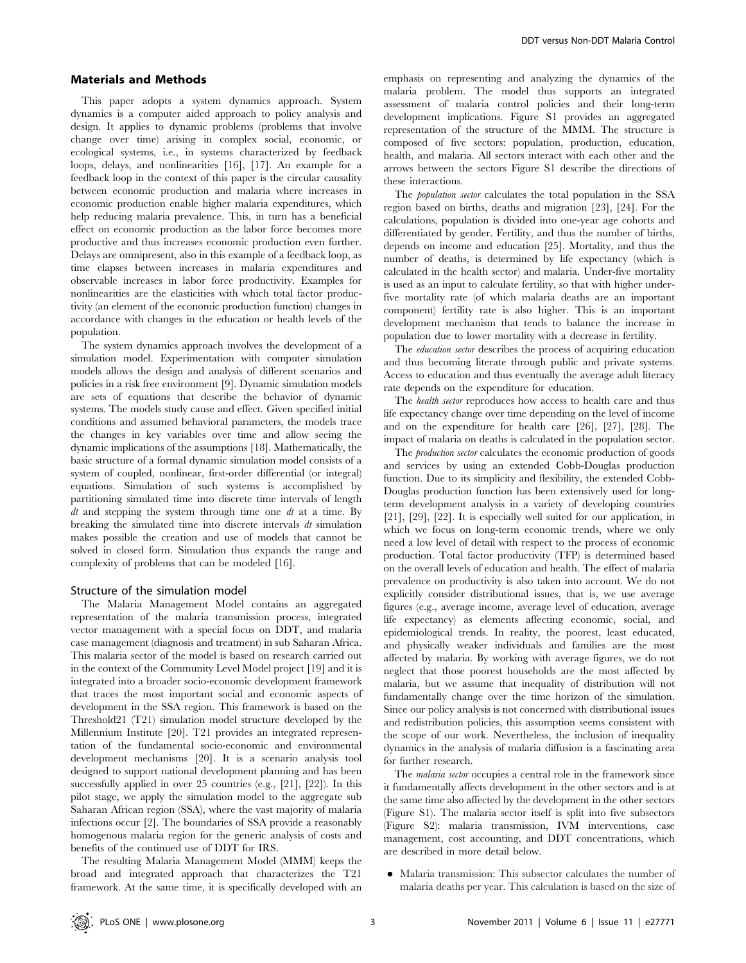## Materials and Methods

This paper adopts a system dynamics approach. System dynamics is a computer aided approach to policy analysis and design. It applies to dynamic problems (problems that involve change over time) arising in complex social, economic, or ecological systems, i.e., in systems characterized by feedback loops, delays, and nonlinearities [16], [17]. An example for a feedback loop in the context of this paper is the circular causality between economic production and malaria where increases in economic production enable higher malaria expenditures, which help reducing malaria prevalence. This, in turn has a beneficial effect on economic production as the labor force becomes more productive and thus increases economic production even further. Delays are omnipresent, also in this example of a feedback loop, as time elapses between increases in malaria expenditures and observable increases in labor force productivity. Examples for nonlinearities are the elasticities with which total factor productivity (an element of the economic production function) changes in accordance with changes in the education or health levels of the population.

The system dynamics approach involves the development of a simulation model. Experimentation with computer simulation models allows the design and analysis of different scenarios and policies in a risk free environment [9]. Dynamic simulation models are sets of equations that describe the behavior of dynamic systems. The models study cause and effect. Given specified initial conditions and assumed behavioral parameters, the models trace the changes in key variables over time and allow seeing the dynamic implications of the assumptions [18]. Mathematically, the basic structure of a formal dynamic simulation model consists of a system of coupled, nonlinear, first-order differential (or integral) equations. Simulation of such systems is accomplished by partitioning simulated time into discrete time intervals of length  $dt$  and stepping the system through time one  $dt$  at a time. By breaking the simulated time into discrete intervals dt simulation makes possible the creation and use of models that cannot be solved in closed form. Simulation thus expands the range and complexity of problems that can be modeled [16].

## Structure of the simulation model

The Malaria Management Model contains an aggregated representation of the malaria transmission process, integrated vector management with a special focus on DDT, and malaria case management (diagnosis and treatment) in sub Saharan Africa. This malaria sector of the model is based on research carried out in the context of the Community Level Model project [19] and it is integrated into a broader socio-economic development framework that traces the most important social and economic aspects of development in the SSA region. This framework is based on the Threshold21 (T21) simulation model structure developed by the Millennium Institute [20]. T21 provides an integrated representation of the fundamental socio-economic and environmental development mechanisms [20]. It is a scenario analysis tool designed to support national development planning and has been successfully applied in over 25 countries (e.g., [21], [22]). In this pilot stage, we apply the simulation model to the aggregate sub Saharan African region (SSA), where the vast majority of malaria infections occur [2]. The boundaries of SSA provide a reasonably homogenous malaria region for the generic analysis of costs and benefits of the continued use of DDT for IRS.

The resulting Malaria Management Model (MMM) keeps the broad and integrated approach that characterizes the T21 framework. At the same time, it is specifically developed with an emphasis on representing and analyzing the dynamics of the malaria problem. The model thus supports an integrated assessment of malaria control policies and their long-term development implications. Figure S1 provides an aggregated representation of the structure of the MMM. The structure is composed of five sectors: population, production, education, health, and malaria. All sectors interact with each other and the arrows between the sectors Figure S1 describe the directions of these interactions.

The population sector calculates the total population in the SSA region based on births, deaths and migration [23], [24]. For the calculations, population is divided into one-year age cohorts and differentiated by gender. Fertility, and thus the number of births, depends on income and education [25]. Mortality, and thus the number of deaths, is determined by life expectancy (which is calculated in the health sector) and malaria. Under-five mortality is used as an input to calculate fertility, so that with higher underfive mortality rate (of which malaria deaths are an important component) fertility rate is also higher. This is an important development mechanism that tends to balance the increase in population due to lower mortality with a decrease in fertility.

The education sector describes the process of acquiring education and thus becoming literate through public and private systems. Access to education and thus eventually the average adult literacy rate depends on the expenditure for education.

The health sector reproduces how access to health care and thus life expectancy change over time depending on the level of income and on the expenditure for health care [26], [27], [28]. The impact of malaria on deaths is calculated in the population sector.

The production sector calculates the economic production of goods and services by using an extended Cobb-Douglas production function. Due to its simplicity and flexibility, the extended Cobb-Douglas production function has been extensively used for longterm development analysis in a variety of developing countries [21], [29], [22]. It is especially well suited for our application, in which we focus on long-term economic trends, where we only need a low level of detail with respect to the process of economic production. Total factor productivity (TFP) is determined based on the overall levels of education and health. The effect of malaria prevalence on productivity is also taken into account. We do not explicitly consider distributional issues, that is, we use average figures (e.g., average income, average level of education, average life expectancy) as elements affecting economic, social, and epidemiological trends. In reality, the poorest, least educated, and physically weaker individuals and families are the most affected by malaria. By working with average figures, we do not neglect that those poorest households are the most affected by malaria, but we assume that inequality of distribution will not fundamentally change over the time horizon of the simulation. Since our policy analysis is not concerned with distributional issues and redistribution policies, this assumption seems consistent with the scope of our work. Nevertheless, the inclusion of inequality dynamics in the analysis of malaria diffusion is a fascinating area for further research.

The malaria sector occupies a central role in the framework since it fundamentally affects development in the other sectors and is at the same time also affected by the development in the other sectors (Figure S1). The malaria sector itself is split into five subsectors (Figure S2): malaria transmission, IVM interventions, case management, cost accounting, and DDT concentrations, which are described in more detail below.

• Malaria transmission: This subsector calculates the number of malaria deaths per year. This calculation is based on the size of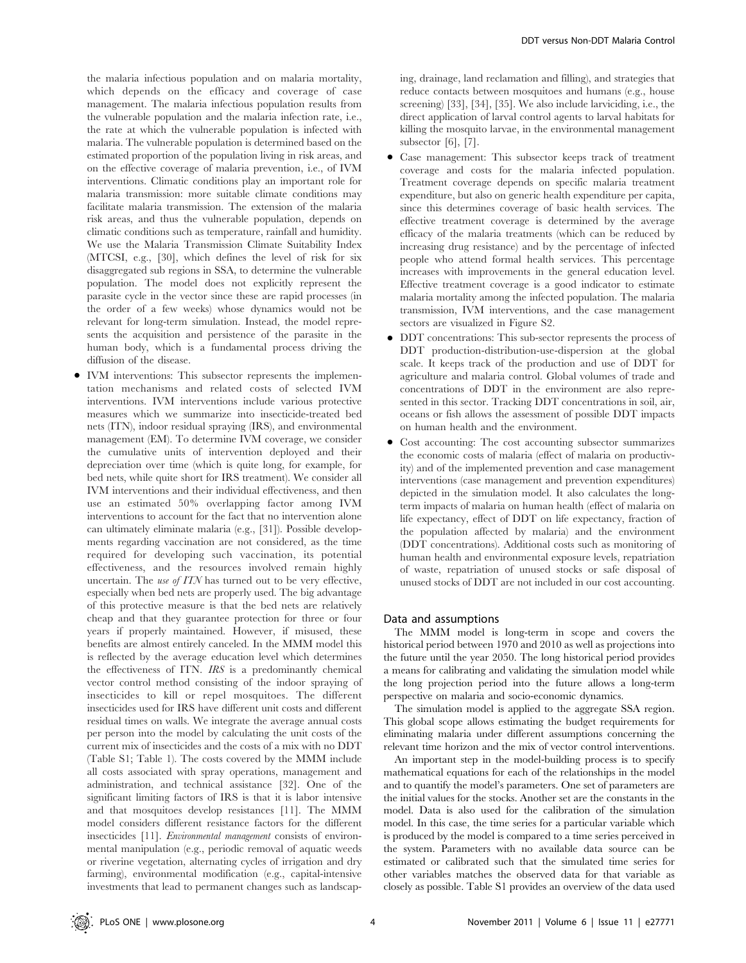the malaria infectious population and on malaria mortality, which depends on the efficacy and coverage of case management. The malaria infectious population results from the vulnerable population and the malaria infection rate, i.e., the rate at which the vulnerable population is infected with malaria. The vulnerable population is determined based on the estimated proportion of the population living in risk areas, and on the effective coverage of malaria prevention, i.e., of IVM interventions. Climatic conditions play an important role for malaria transmission: more suitable climate conditions may facilitate malaria transmission. The extension of the malaria risk areas, and thus the vulnerable population, depends on climatic conditions such as temperature, rainfall and humidity. We use the Malaria Transmission Climate Suitability Index (MTCSI, e.g., [30], which defines the level of risk for six disaggregated sub regions in SSA, to determine the vulnerable population. The model does not explicitly represent the parasite cycle in the vector since these are rapid processes (in the order of a few weeks) whose dynamics would not be relevant for long-term simulation. Instead, the model represents the acquisition and persistence of the parasite in the human body, which is a fundamental process driving the diffusion of the disease.

• IVM interventions: This subsector represents the implementation mechanisms and related costs of selected IVM interventions. IVM interventions include various protective measures which we summarize into insecticide-treated bed nets (ITN), indoor residual spraying (IRS), and environmental management (EM). To determine IVM coverage, we consider the cumulative units of intervention deployed and their depreciation over time (which is quite long, for example, for bed nets, while quite short for IRS treatment). We consider all IVM interventions and their individual effectiveness, and then use an estimated 50% overlapping factor among IVM interventions to account for the fact that no intervention alone can ultimately eliminate malaria (e.g., [31]). Possible developments regarding vaccination are not considered, as the time required for developing such vaccination, its potential effectiveness, and the resources involved remain highly uncertain. The *use of ITN* has turned out to be very effective, especially when bed nets are properly used. The big advantage of this protective measure is that the bed nets are relatively cheap and that they guarantee protection for three or four years if properly maintained. However, if misused, these benefits are almost entirely canceled. In the MMM model this is reflected by the average education level which determines the effectiveness of ITN. IRS is a predominantly chemical vector control method consisting of the indoor spraying of insecticides to kill or repel mosquitoes. The different insecticides used for IRS have different unit costs and different residual times on walls. We integrate the average annual costs per person into the model by calculating the unit costs of the current mix of insecticides and the costs of a mix with no DDT (Table S1; Table 1). The costs covered by the MMM include all costs associated with spray operations, management and administration, and technical assistance [32]. One of the significant limiting factors of IRS is that it is labor intensive and that mosquitoes develop resistances [11]. The MMM model considers different resistance factors for the different insecticides [11]. Environmental management consists of environmental manipulation (e.g., periodic removal of aquatic weeds or riverine vegetation, alternating cycles of irrigation and dry farming), environmental modification (e.g., capital-intensive investments that lead to permanent changes such as landscaping, drainage, land reclamation and filling), and strategies that reduce contacts between mosquitoes and humans (e.g., house screening) [33], [34], [35]. We also include larviciding, i.e., the direct application of larval control agents to larval habitats for killing the mosquito larvae, in the environmental management subsector [6], [7].

- Case management: This subsector keeps track of treatment coverage and costs for the malaria infected population. Treatment coverage depends on specific malaria treatment expenditure, but also on generic health expenditure per capita, since this determines coverage of basic health services. The effective treatment coverage is determined by the average efficacy of the malaria treatments (which can be reduced by increasing drug resistance) and by the percentage of infected people who attend formal health services. This percentage increases with improvements in the general education level. Effective treatment coverage is a good indicator to estimate malaria mortality among the infected population. The malaria transmission, IVM interventions, and the case management sectors are visualized in Figure S2.
- N DDT concentrations: This sub-sector represents the process of DDT production-distribution-use-dispersion at the global scale. It keeps track of the production and use of DDT for agriculture and malaria control. Global volumes of trade and concentrations of DDT in the environment are also represented in this sector. Tracking DDT concentrations in soil, air, oceans or fish allows the assessment of possible DDT impacts on human health and the environment.
- Cost accounting: The cost accounting subsector summarizes the economic costs of malaria (effect of malaria on productivity) and of the implemented prevention and case management interventions (case management and prevention expenditures) depicted in the simulation model. It also calculates the longterm impacts of malaria on human health (effect of malaria on life expectancy, effect of DDT on life expectancy, fraction of the population affected by malaria) and the environment (DDT concentrations). Additional costs such as monitoring of human health and environmental exposure levels, repatriation of waste, repatriation of unused stocks or safe disposal of unused stocks of DDT are not included in our cost accounting.

#### Data and assumptions

The MMM model is long-term in scope and covers the historical period between 1970 and 2010 as well as projections into the future until the year 2050. The long historical period provides a means for calibrating and validating the simulation model while the long projection period into the future allows a long-term perspective on malaria and socio-economic dynamics.

The simulation model is applied to the aggregate SSA region. This global scope allows estimating the budget requirements for eliminating malaria under different assumptions concerning the relevant time horizon and the mix of vector control interventions.

An important step in the model-building process is to specify mathematical equations for each of the relationships in the model and to quantify the model's parameters. One set of parameters are the initial values for the stocks. Another set are the constants in the model. Data is also used for the calibration of the simulation model. In this case, the time series for a particular variable which is produced by the model is compared to a time series perceived in the system. Parameters with no available data source can be estimated or calibrated such that the simulated time series for other variables matches the observed data for that variable as closely as possible. Table S1 provides an overview of the data used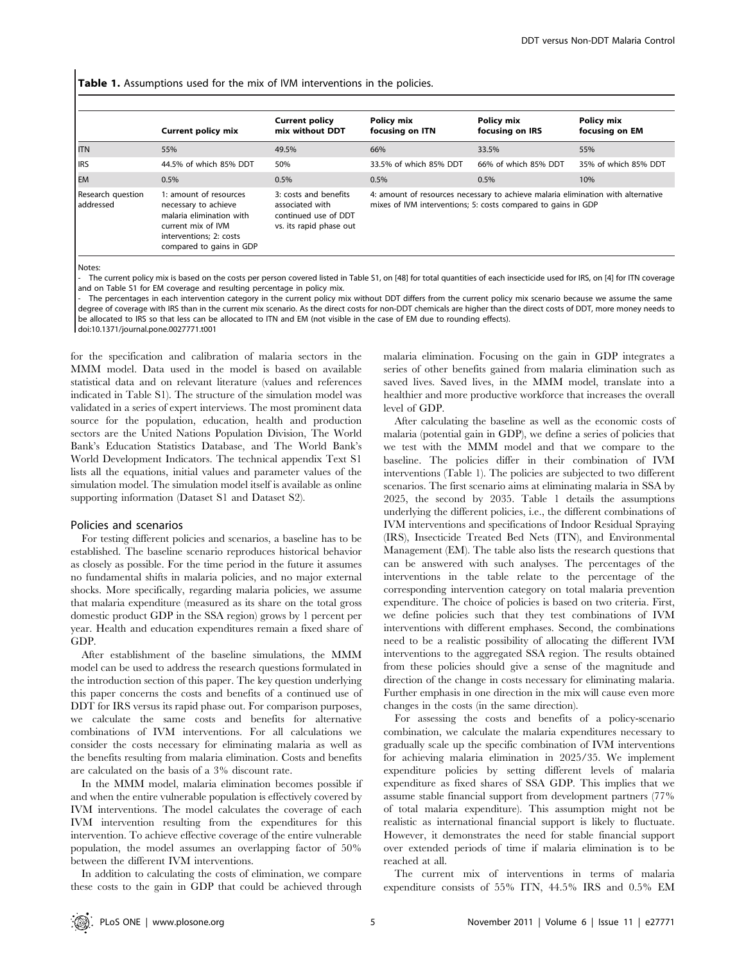Table 1. Assumptions used for the mix of IVM interventions in the policies.

|                                | <b>Current policy mix</b>                                                                                                                               | <b>Current policy</b><br>mix without DDT                                                    | Policy mix<br>focusing on ITN                                                                                                                     | <b>Policy mix</b><br>focusing on IRS | Policy mix<br>focusing on EM |
|--------------------------------|---------------------------------------------------------------------------------------------------------------------------------------------------------|---------------------------------------------------------------------------------------------|---------------------------------------------------------------------------------------------------------------------------------------------------|--------------------------------------|------------------------------|
| <b>ITN</b>                     | 55%                                                                                                                                                     | 49.5%                                                                                       | 66%                                                                                                                                               | 33.5%                                | 55%                          |
| <b>IRS</b>                     | 44.5% of which 85% DDT                                                                                                                                  | 50%                                                                                         | 33.5% of which 85% DDT                                                                                                                            | 66% of which 85% DDT                 | 35% of which 85% DDT         |
| <b>EM</b>                      | 0.5%                                                                                                                                                    | 0.5%                                                                                        | 0.5%                                                                                                                                              | 0.5%                                 | 10%                          |
| Research question<br>addressed | 1: amount of resources<br>necessary to achieve<br>malaria elimination with<br>current mix of IVM<br>interventions: 2: costs<br>compared to gains in GDP | 3: costs and benefits<br>associated with<br>continued use of DDT<br>vs. its rapid phase out | 4: amount of resources necessary to achieve malaria elimination with alternative<br>mixes of IVM interventions; 5: costs compared to gains in GDP |                                      |                              |

Notes:

The current policy mix is based on the costs per person covered listed in Table S1, on [48] for total quantities of each insecticide used for IRS, on [4] for ITN coverage and on Table S1 for EM coverage and resulting percentage in policy mix.

The percentages in each intervention category in the current policy mix without DDT differs from the current policy mix scenario because we assume the same degree of coverage with IRS than in the current mix scenario. As the direct costs for non-DDT chemicals are higher than the direct costs of DDT, more money needs to be allocated to IRS so that less can be allocated to ITN and EM (not visible in the case of EM due to rounding effects). doi:10.1371/journal.pone.0027771.t001

for the specification and calibration of malaria sectors in the MMM model. Data used in the model is based on available statistical data and on relevant literature (values and references indicated in Table S1). The structure of the simulation model was validated in a series of expert interviews. The most prominent data source for the population, education, health and production sectors are the United Nations Population Division, The World Bank's Education Statistics Database, and The World Bank's World Development Indicators. The technical appendix Text S1 lists all the equations, initial values and parameter values of the simulation model. The simulation model itself is available as online supporting information (Dataset S1 and Dataset S2).

#### Policies and scenarios

For testing different policies and scenarios, a baseline has to be established. The baseline scenario reproduces historical behavior as closely as possible. For the time period in the future it assumes no fundamental shifts in malaria policies, and no major external shocks. More specifically, regarding malaria policies, we assume that malaria expenditure (measured as its share on the total gross domestic product GDP in the SSA region) grows by 1 percent per year. Health and education expenditures remain a fixed share of GDP.

After establishment of the baseline simulations, the MMM model can be used to address the research questions formulated in the introduction section of this paper. The key question underlying this paper concerns the costs and benefits of a continued use of DDT for IRS versus its rapid phase out. For comparison purposes, we calculate the same costs and benefits for alternative combinations of IVM interventions. For all calculations we consider the costs necessary for eliminating malaria as well as the benefits resulting from malaria elimination. Costs and benefits are calculated on the basis of a 3% discount rate.

In the MMM model, malaria elimination becomes possible if and when the entire vulnerable population is effectively covered by IVM interventions. The model calculates the coverage of each IVM intervention resulting from the expenditures for this intervention. To achieve effective coverage of the entire vulnerable population, the model assumes an overlapping factor of 50% between the different IVM interventions.

In addition to calculating the costs of elimination, we compare these costs to the gain in GDP that could be achieved through malaria elimination. Focusing on the gain in GDP integrates a series of other benefits gained from malaria elimination such as saved lives. Saved lives, in the MMM model, translate into a healthier and more productive workforce that increases the overall level of GDP.

After calculating the baseline as well as the economic costs of malaria (potential gain in GDP), we define a series of policies that we test with the MMM model and that we compare to the baseline. The policies differ in their combination of IVM interventions (Table 1). The policies are subjected to two different scenarios. The first scenario aims at eliminating malaria in SSA by 2025, the second by 2035. Table 1 details the assumptions underlying the different policies, i.e., the different combinations of IVM interventions and specifications of Indoor Residual Spraying (IRS), Insecticide Treated Bed Nets (ITN), and Environmental Management (EM). The table also lists the research questions that can be answered with such analyses. The percentages of the interventions in the table relate to the percentage of the corresponding intervention category on total malaria prevention expenditure. The choice of policies is based on two criteria. First, we define policies such that they test combinations of IVM interventions with different emphases. Second, the combinations need to be a realistic possibility of allocating the different IVM interventions to the aggregated SSA region. The results obtained from these policies should give a sense of the magnitude and direction of the change in costs necessary for eliminating malaria. Further emphasis in one direction in the mix will cause even more changes in the costs (in the same direction).

For assessing the costs and benefits of a policy-scenario combination, we calculate the malaria expenditures necessary to gradually scale up the specific combination of IVM interventions for achieving malaria elimination in 2025/35. We implement expenditure policies by setting different levels of malaria expenditure as fixed shares of SSA GDP. This implies that we assume stable financial support from development partners (77% of total malaria expenditure). This assumption might not be realistic as international financial support is likely to fluctuate. However, it demonstrates the need for stable financial support over extended periods of time if malaria elimination is to be reached at all.

The current mix of interventions in terms of malaria expenditure consists of 55% ITN, 44.5% IRS and 0.5% EM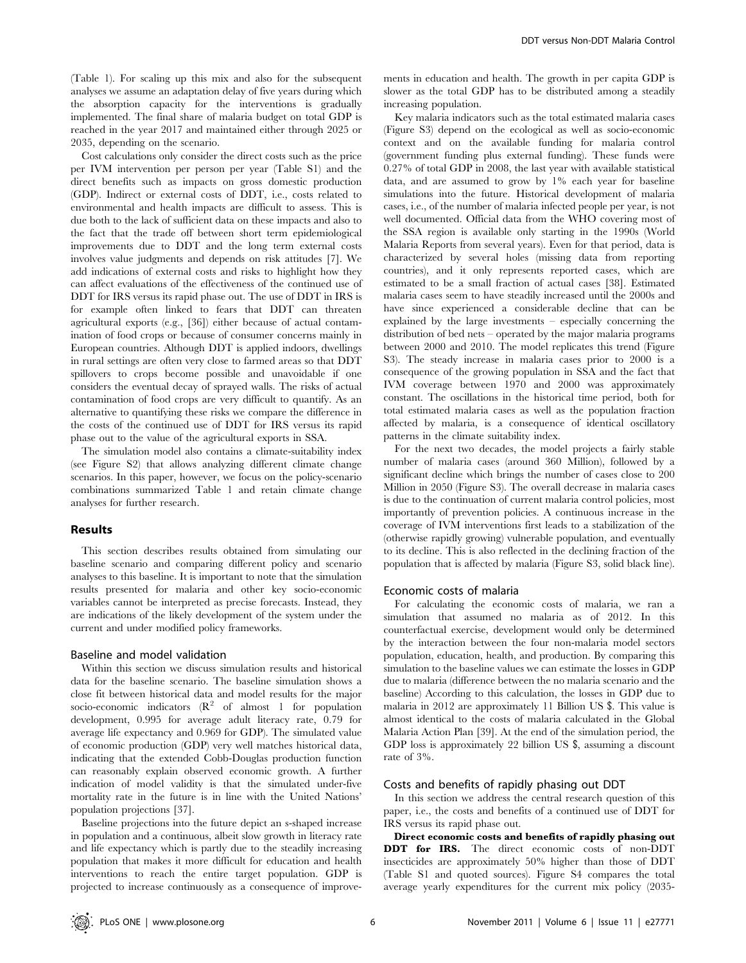(Table 1). For scaling up this mix and also for the subsequent analyses we assume an adaptation delay of five years during which the absorption capacity for the interventions is gradually implemented. The final share of malaria budget on total GDP is reached in the year 2017 and maintained either through 2025 or 2035, depending on the scenario.

Cost calculations only consider the direct costs such as the price per IVM intervention per person per year (Table S1) and the direct benefits such as impacts on gross domestic production (GDP). Indirect or external costs of DDT, i.e., costs related to environmental and health impacts are difficult to assess. This is due both to the lack of sufficient data on these impacts and also to the fact that the trade off between short term epidemiological improvements due to DDT and the long term external costs involves value judgments and depends on risk attitudes [7]. We add indications of external costs and risks to highlight how they can affect evaluations of the effectiveness of the continued use of DDT for IRS versus its rapid phase out. The use of DDT in IRS is for example often linked to fears that DDT can threaten agricultural exports (e.g., [36]) either because of actual contamination of food crops or because of consumer concerns mainly in European countries. Although DDT is applied indoors, dwellings in rural settings are often very close to farmed areas so that DDT spillovers to crops become possible and unavoidable if one considers the eventual decay of sprayed walls. The risks of actual contamination of food crops are very difficult to quantify. As an alternative to quantifying these risks we compare the difference in the costs of the continued use of DDT for IRS versus its rapid phase out to the value of the agricultural exports in SSA.

The simulation model also contains a climate-suitability index (see Figure S2) that allows analyzing different climate change scenarios. In this paper, however, we focus on the policy-scenario combinations summarized Table 1 and retain climate change analyses for further research.

## Results

This section describes results obtained from simulating our baseline scenario and comparing different policy and scenario analyses to this baseline. It is important to note that the simulation results presented for malaria and other key socio-economic variables cannot be interpreted as precise forecasts. Instead, they are indications of the likely development of the system under the current and under modified policy frameworks.

#### Baseline and model validation

Within this section we discuss simulation results and historical data for the baseline scenario. The baseline simulation shows a close fit between historical data and model results for the major socio-economic indicators  $(R^2 \text{ of almost } 1 \text{ for population})$ development, 0.995 for average adult literacy rate, 0.79 for average life expectancy and 0.969 for GDP). The simulated value of economic production (GDP) very well matches historical data, indicating that the extended Cobb-Douglas production function can reasonably explain observed economic growth. A further indication of model validity is that the simulated under-five mortality rate in the future is in line with the United Nations' population projections [37].

Baseline projections into the future depict an s-shaped increase in population and a continuous, albeit slow growth in literacy rate and life expectancy which is partly due to the steadily increasing population that makes it more difficult for education and health interventions to reach the entire target population. GDP is projected to increase continuously as a consequence of improvements in education and health. The growth in per capita GDP is slower as the total GDP has to be distributed among a steadily increasing population.

Key malaria indicators such as the total estimated malaria cases (Figure S3) depend on the ecological as well as socio-economic context and on the available funding for malaria control (government funding plus external funding). These funds were 0.27% of total GDP in 2008, the last year with available statistical data, and are assumed to grow by 1% each year for baseline simulations into the future. Historical development of malaria cases, i.e., of the number of malaria infected people per year, is not well documented. Official data from the WHO covering most of the SSA region is available only starting in the 1990s (World Malaria Reports from several years). Even for that period, data is characterized by several holes (missing data from reporting countries), and it only represents reported cases, which are estimated to be a small fraction of actual cases [38]. Estimated malaria cases seem to have steadily increased until the 2000s and have since experienced a considerable decline that can be explained by the large investments – especially concerning the distribution of bed nets – operated by the major malaria programs between 2000 and 2010. The model replicates this trend (Figure S3). The steady increase in malaria cases prior to 2000 is a consequence of the growing population in SSA and the fact that IVM coverage between 1970 and 2000 was approximately constant. The oscillations in the historical time period, both for total estimated malaria cases as well as the population fraction affected by malaria, is a consequence of identical oscillatory patterns in the climate suitability index.

For the next two decades, the model projects a fairly stable number of malaria cases (around 360 Million), followed by a significant decline which brings the number of cases close to 200 Million in 2050 (Figure S3). The overall decrease in malaria cases is due to the continuation of current malaria control policies, most importantly of prevention policies. A continuous increase in the coverage of IVM interventions first leads to a stabilization of the (otherwise rapidly growing) vulnerable population, and eventually to its decline. This is also reflected in the declining fraction of the population that is affected by malaria (Figure S3, solid black line).

## Economic costs of malaria

For calculating the economic costs of malaria, we ran a simulation that assumed no malaria as of 2012. In this counterfactual exercise, development would only be determined by the interaction between the four non-malaria model sectors population, education, health, and production. By comparing this simulation to the baseline values we can estimate the losses in GDP due to malaria (difference between the no malaria scenario and the baseline) According to this calculation, the losses in GDP due to malaria in 2012 are approximately 11 Billion US \$. This value is almost identical to the costs of malaria calculated in the Global Malaria Action Plan [39]. At the end of the simulation period, the GDP loss is approximately 22 billion US \$, assuming a discount rate of 3%.

#### Costs and benefits of rapidly phasing out DDT

In this section we address the central research question of this paper, i.e., the costs and benefits of a continued use of DDT for IRS versus its rapid phase out.

Direct economic costs and benefits of rapidly phasing out DDT for IRS. The direct economic costs of non-DDT insecticides are approximately 50% higher than those of DDT (Table S1 and quoted sources). Figure S4 compares the total average yearly expenditures for the current mix policy (2035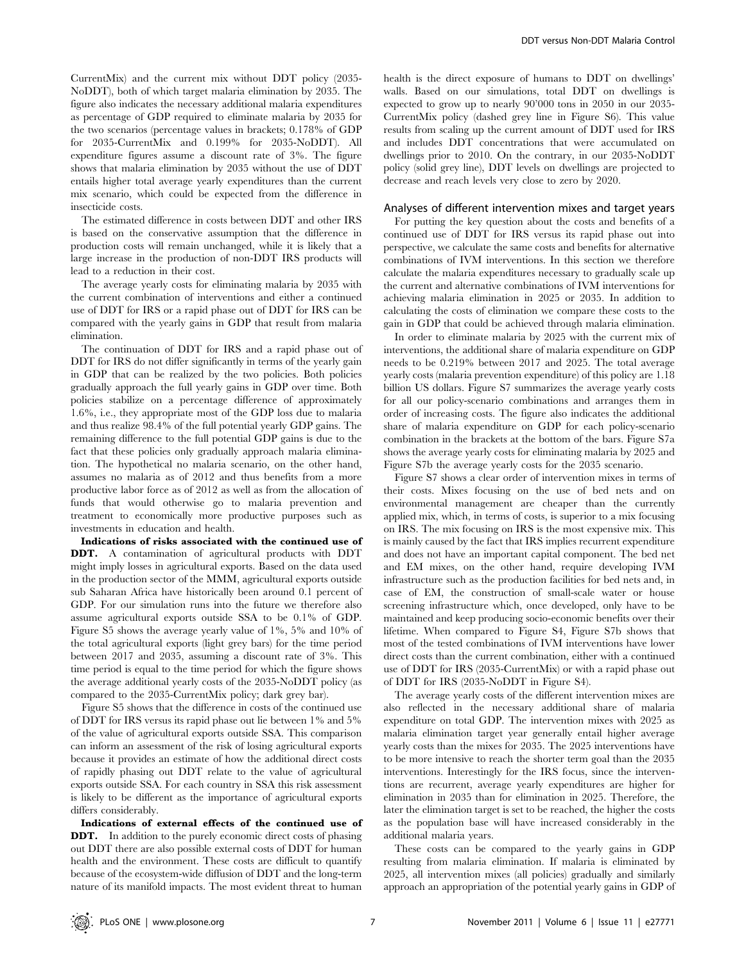CurrentMix) and the current mix without DDT policy (2035- NoDDT), both of which target malaria elimination by 2035. The figure also indicates the necessary additional malaria expenditures as percentage of GDP required to eliminate malaria by 2035 for the two scenarios (percentage values in brackets; 0.178% of GDP for 2035-CurrentMix and 0.199% for 2035-NoDDT). All expenditure figures assume a discount rate of 3%. The figure shows that malaria elimination by 2035 without the use of DDT entails higher total average yearly expenditures than the current mix scenario, which could be expected from the difference in insecticide costs.

The estimated difference in costs between DDT and other IRS is based on the conservative assumption that the difference in production costs will remain unchanged, while it is likely that a large increase in the production of non-DDT IRS products will lead to a reduction in their cost.

The average yearly costs for eliminating malaria by 2035 with the current combination of interventions and either a continued use of DDT for IRS or a rapid phase out of DDT for IRS can be compared with the yearly gains in GDP that result from malaria elimination.

The continuation of DDT for IRS and a rapid phase out of DDT for IRS do not differ significantly in terms of the yearly gain in GDP that can be realized by the two policies. Both policies gradually approach the full yearly gains in GDP over time. Both policies stabilize on a percentage difference of approximately 1.6%, i.e., they appropriate most of the GDP loss due to malaria and thus realize 98.4% of the full potential yearly GDP gains. The remaining difference to the full potential GDP gains is due to the fact that these policies only gradually approach malaria elimination. The hypothetical no malaria scenario, on the other hand, assumes no malaria as of 2012 and thus benefits from a more productive labor force as of 2012 as well as from the allocation of funds that would otherwise go to malaria prevention and treatment to economically more productive purposes such as investments in education and health.

Indications of risks associated with the continued use of DDT. A contamination of agricultural products with DDT might imply losses in agricultural exports. Based on the data used in the production sector of the MMM, agricultural exports outside sub Saharan Africa have historically been around 0.1 percent of GDP. For our simulation runs into the future we therefore also assume agricultural exports outside SSA to be 0.1% of GDP. Figure S5 shows the average yearly value of 1%, 5% and 10% of the total agricultural exports (light grey bars) for the time period between 2017 and 2035, assuming a discount rate of 3%. This time period is equal to the time period for which the figure shows the average additional yearly costs of the 2035-NoDDT policy (as compared to the 2035-CurrentMix policy; dark grey bar).

Figure S5 shows that the difference in costs of the continued use of DDT for IRS versus its rapid phase out lie between 1% and 5% of the value of agricultural exports outside SSA. This comparison can inform an assessment of the risk of losing agricultural exports because it provides an estimate of how the additional direct costs of rapidly phasing out DDT relate to the value of agricultural exports outside SSA. For each country in SSA this risk assessment is likely to be different as the importance of agricultural exports differs considerably.

Indications of external effects of the continued use of DDT. In addition to the purely economic direct costs of phasing out DDT there are also possible external costs of DDT for human health and the environment. These costs are difficult to quantify because of the ecosystem-wide diffusion of DDT and the long-term nature of its manifold impacts. The most evident threat to human

health is the direct exposure of humans to DDT on dwellings' walls. Based on our simulations, total DDT on dwellings is expected to grow up to nearly 90'000 tons in 2050 in our 2035- CurrentMix policy (dashed grey line in Figure S6). This value results from scaling up the current amount of DDT used for IRS and includes DDT concentrations that were accumulated on dwellings prior to 2010. On the contrary, in our 2035-NoDDT policy (solid grey line), DDT levels on dwellings are projected to decrease and reach levels very close to zero by 2020.

#### Analyses of different intervention mixes and target years

For putting the key question about the costs and benefits of a continued use of DDT for IRS versus its rapid phase out into perspective, we calculate the same costs and benefits for alternative combinations of IVM interventions. In this section we therefore calculate the malaria expenditures necessary to gradually scale up the current and alternative combinations of IVM interventions for achieving malaria elimination in 2025 or 2035. In addition to calculating the costs of elimination we compare these costs to the gain in GDP that could be achieved through malaria elimination.

In order to eliminate malaria by 2025 with the current mix of interventions, the additional share of malaria expenditure on GDP needs to be 0.219% between 2017 and 2025. The total average yearly costs (malaria prevention expenditure) of this policy are 1.18 billion US dollars. Figure S7 summarizes the average yearly costs for all our policy-scenario combinations and arranges them in order of increasing costs. The figure also indicates the additional share of malaria expenditure on GDP for each policy-scenario combination in the brackets at the bottom of the bars. Figure S7a shows the average yearly costs for eliminating malaria by 2025 and Figure S7b the average yearly costs for the 2035 scenario.

Figure S7 shows a clear order of intervention mixes in terms of their costs. Mixes focusing on the use of bed nets and on environmental management are cheaper than the currently applied mix, which, in terms of costs, is superior to a mix focusing on IRS. The mix focusing on IRS is the most expensive mix. This is mainly caused by the fact that IRS implies recurrent expenditure and does not have an important capital component. The bed net and EM mixes, on the other hand, require developing IVM infrastructure such as the production facilities for bed nets and, in case of EM, the construction of small-scale water or house screening infrastructure which, once developed, only have to be maintained and keep producing socio-economic benefits over their lifetime. When compared to Figure S4, Figure S7b shows that most of the tested combinations of IVM interventions have lower direct costs than the current combination, either with a continued use of DDT for IRS (2035-CurrentMix) or with a rapid phase out of DDT for IRS (2035-NoDDT in Figure S4).

The average yearly costs of the different intervention mixes are also reflected in the necessary additional share of malaria expenditure on total GDP. The intervention mixes with 2025 as malaria elimination target year generally entail higher average yearly costs than the mixes for 2035. The 2025 interventions have to be more intensive to reach the shorter term goal than the 2035 interventions. Interestingly for the IRS focus, since the interventions are recurrent, average yearly expenditures are higher for elimination in 2035 than for elimination in 2025. Therefore, the later the elimination target is set to be reached, the higher the costs as the population base will have increased considerably in the additional malaria years.

These costs can be compared to the yearly gains in GDP resulting from malaria elimination. If malaria is eliminated by 2025, all intervention mixes (all policies) gradually and similarly approach an appropriation of the potential yearly gains in GDP of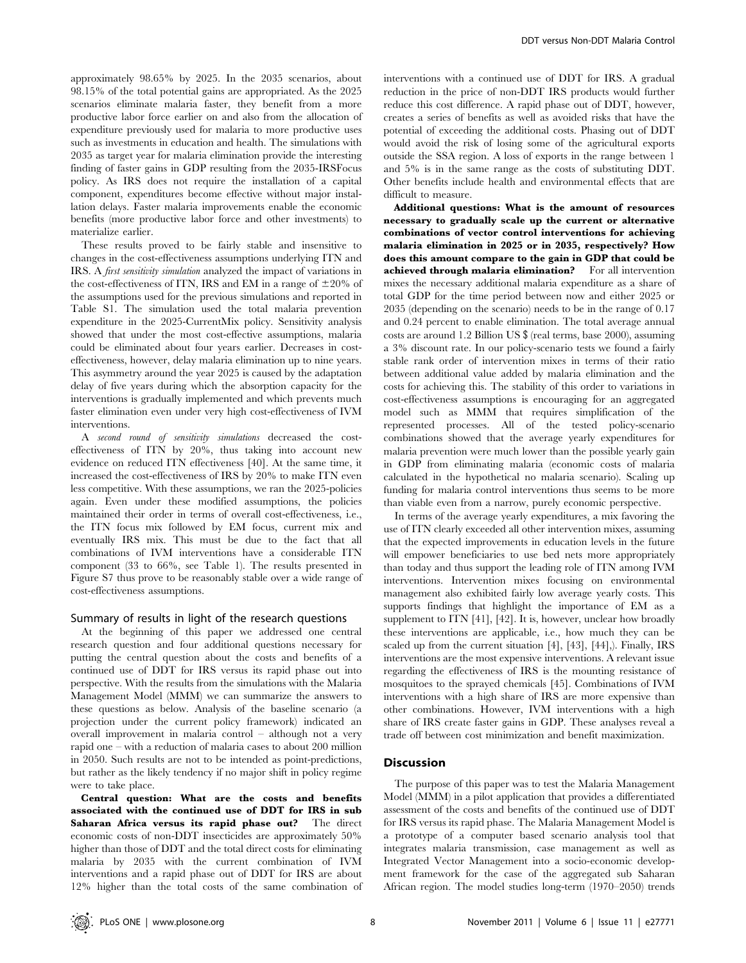approximately 98.65% by 2025. In the 2035 scenarios, about 98.15% of the total potential gains are appropriated. As the 2025 scenarios eliminate malaria faster, they benefit from a more productive labor force earlier on and also from the allocation of expenditure previously used for malaria to more productive uses such as investments in education and health. The simulations with 2035 as target year for malaria elimination provide the interesting finding of faster gains in GDP resulting from the 2035-IRSFocus policy. As IRS does not require the installation of a capital component, expenditures become effective without major installation delays. Faster malaria improvements enable the economic benefits (more productive labor force and other investments) to materialize earlier.

These results proved to be fairly stable and insensitive to changes in the cost-effectiveness assumptions underlying ITN and IRS. A first sensitivity simulation analyzed the impact of variations in the cost-effectiveness of ITN, IRS and EM in a range of  $\pm 20\%$  of the assumptions used for the previous simulations and reported in Table S1. The simulation used the total malaria prevention expenditure in the 2025-CurrentMix policy. Sensitivity analysis showed that under the most cost-effective assumptions, malaria could be eliminated about four years earlier. Decreases in costeffectiveness, however, delay malaria elimination up to nine years. This asymmetry around the year 2025 is caused by the adaptation delay of five years during which the absorption capacity for the interventions is gradually implemented and which prevents much faster elimination even under very high cost-effectiveness of IVM interventions.

A second round of sensitivity simulations decreased the costeffectiveness of ITN by 20%, thus taking into account new evidence on reduced ITN effectiveness [40]. At the same time, it increased the cost-effectiveness of IRS by 20% to make ITN even less competitive. With these assumptions, we ran the 2025-policies again. Even under these modified assumptions, the policies maintained their order in terms of overall cost-effectiveness, i.e., the ITN focus mix followed by EM focus, current mix and eventually IRS mix. This must be due to the fact that all combinations of IVM interventions have a considerable ITN component (33 to 66%, see Table 1). The results presented in Figure S7 thus prove to be reasonably stable over a wide range of cost-effectiveness assumptions.

#### Summary of results in light of the research questions

At the beginning of this paper we addressed one central research question and four additional questions necessary for putting the central question about the costs and benefits of a continued use of DDT for IRS versus its rapid phase out into perspective. With the results from the simulations with the Malaria Management Model (MMM) we can summarize the answers to these questions as below. Analysis of the baseline scenario (a projection under the current policy framework) indicated an overall improvement in malaria control – although not a very rapid one – with a reduction of malaria cases to about 200 million in 2050. Such results are not to be intended as point-predictions, but rather as the likely tendency if no major shift in policy regime were to take place.

Central question: What are the costs and benefits associated with the continued use of DDT for IRS in sub Saharan Africa versus its rapid phase out? The direct economic costs of non-DDT insecticides are approximately 50% higher than those of DDT and the total direct costs for eliminating malaria by 2035 with the current combination of IVM interventions and a rapid phase out of DDT for IRS are about 12% higher than the total costs of the same combination of interventions with a continued use of DDT for IRS. A gradual reduction in the price of non-DDT IRS products would further reduce this cost difference. A rapid phase out of DDT, however, creates a series of benefits as well as avoided risks that have the potential of exceeding the additional costs. Phasing out of DDT would avoid the risk of losing some of the agricultural exports outside the SSA region. A loss of exports in the range between 1 and 5% is in the same range as the costs of substituting DDT. Other benefits include health and environmental effects that are difficult to measure.

Additional questions: What is the amount of resources necessary to gradually scale up the current or alternative combinations of vector control interventions for achieving malaria elimination in 2025 or in 2035, respectively? How does this amount compare to the gain in GDP that could be achieved through malaria elimination? For all intervention mixes the necessary additional malaria expenditure as a share of total GDP for the time period between now and either 2025 or 2035 (depending on the scenario) needs to be in the range of 0.17 and 0.24 percent to enable elimination. The total average annual costs are around 1.2 Billion US \$ (real terms, base 2000), assuming a 3% discount rate. In our policy-scenario tests we found a fairly stable rank order of intervention mixes in terms of their ratio between additional value added by malaria elimination and the costs for achieving this. The stability of this order to variations in cost-effectiveness assumptions is encouraging for an aggregated model such as MMM that requires simplification of the represented processes. All of the tested policy-scenario combinations showed that the average yearly expenditures for malaria prevention were much lower than the possible yearly gain in GDP from eliminating malaria (economic costs of malaria calculated in the hypothetical no malaria scenario). Scaling up funding for malaria control interventions thus seems to be more than viable even from a narrow, purely economic perspective.

In terms of the average yearly expenditures, a mix favoring the use of ITN clearly exceeded all other intervention mixes, assuming that the expected improvements in education levels in the future will empower beneficiaries to use bed nets more appropriately than today and thus support the leading role of ITN among IVM interventions. Intervention mixes focusing on environmental management also exhibited fairly low average yearly costs. This supports findings that highlight the importance of EM as a supplement to ITN [41], [42]. It is, however, unclear how broadly these interventions are applicable, i.e., how much they can be scaled up from the current situation [4], [43], [44],). Finally, IRS interventions are the most expensive interventions. A relevant issue regarding the effectiveness of IRS is the mounting resistance of mosquitoes to the sprayed chemicals [45]. Combinations of IVM interventions with a high share of IRS are more expensive than other combinations. However, IVM interventions with a high share of IRS create faster gains in GDP. These analyses reveal a trade off between cost minimization and benefit maximization.

#### **Discussion**

The purpose of this paper was to test the Malaria Management Model (MMM) in a pilot application that provides a differentiated assessment of the costs and benefits of the continued use of DDT for IRS versus its rapid phase. The Malaria Management Model is a prototype of a computer based scenario analysis tool that integrates malaria transmission, case management as well as Integrated Vector Management into a socio-economic development framework for the case of the aggregated sub Saharan African region. The model studies long-term (1970–2050) trends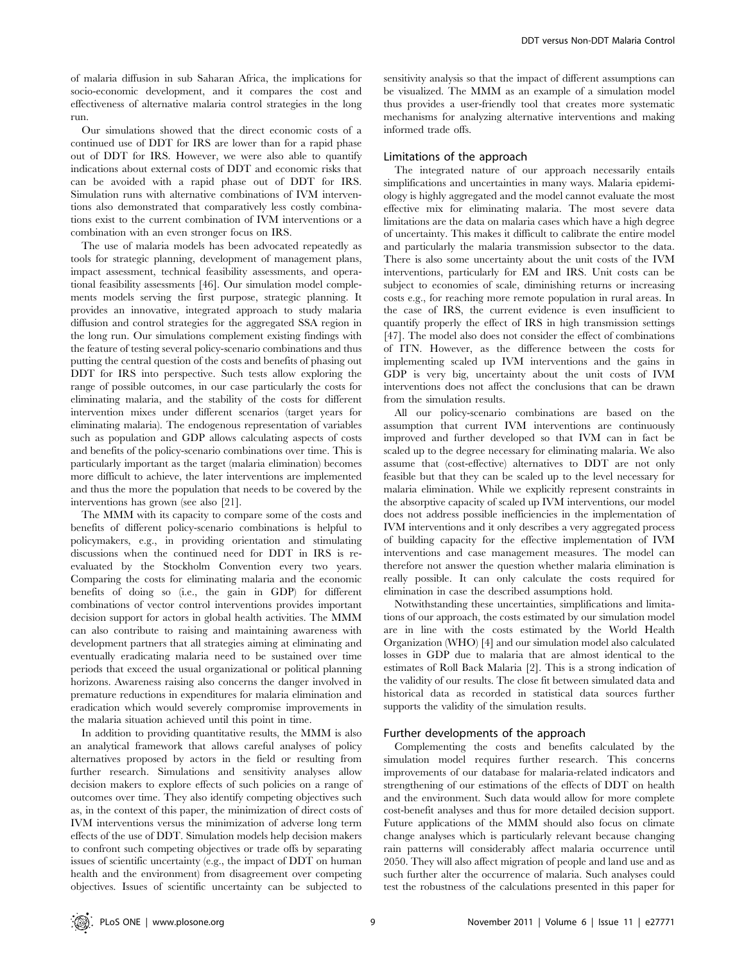of malaria diffusion in sub Saharan Africa, the implications for socio-economic development, and it compares the cost and effectiveness of alternative malaria control strategies in the long run.

Our simulations showed that the direct economic costs of a continued use of DDT for IRS are lower than for a rapid phase out of DDT for IRS. However, we were also able to quantify indications about external costs of DDT and economic risks that can be avoided with a rapid phase out of DDT for IRS. Simulation runs with alternative combinations of IVM interventions also demonstrated that comparatively less costly combinations exist to the current combination of IVM interventions or a combination with an even stronger focus on IRS.

The use of malaria models has been advocated repeatedly as tools for strategic planning, development of management plans, impact assessment, technical feasibility assessments, and operational feasibility assessments [46]. Our simulation model complements models serving the first purpose, strategic planning. It provides an innovative, integrated approach to study malaria diffusion and control strategies for the aggregated SSA region in the long run. Our simulations complement existing findings with the feature of testing several policy-scenario combinations and thus putting the central question of the costs and benefits of phasing out DDT for IRS into perspective. Such tests allow exploring the range of possible outcomes, in our case particularly the costs for eliminating malaria, and the stability of the costs for different intervention mixes under different scenarios (target years for eliminating malaria). The endogenous representation of variables such as population and GDP allows calculating aspects of costs and benefits of the policy-scenario combinations over time. This is particularly important as the target (malaria elimination) becomes more difficult to achieve, the later interventions are implemented and thus the more the population that needs to be covered by the interventions has grown (see also [21].

The MMM with its capacity to compare some of the costs and benefits of different policy-scenario combinations is helpful to policymakers, e.g., in providing orientation and stimulating discussions when the continued need for DDT in IRS is reevaluated by the Stockholm Convention every two years. Comparing the costs for eliminating malaria and the economic benefits of doing so (i.e., the gain in GDP) for different combinations of vector control interventions provides important decision support for actors in global health activities. The MMM can also contribute to raising and maintaining awareness with development partners that all strategies aiming at eliminating and eventually eradicating malaria need to be sustained over time periods that exceed the usual organizational or political planning horizons. Awareness raising also concerns the danger involved in premature reductions in expenditures for malaria elimination and eradication which would severely compromise improvements in the malaria situation achieved until this point in time.

In addition to providing quantitative results, the MMM is also an analytical framework that allows careful analyses of policy alternatives proposed by actors in the field or resulting from further research. Simulations and sensitivity analyses allow decision makers to explore effects of such policies on a range of outcomes over time. They also identify competing objectives such as, in the context of this paper, the minimization of direct costs of IVM interventions versus the minimization of adverse long term effects of the use of DDT. Simulation models help decision makers to confront such competing objectives or trade offs by separating issues of scientific uncertainty (e.g., the impact of DDT on human health and the environment) from disagreement over competing objectives. Issues of scientific uncertainty can be subjected to sensitivity analysis so that the impact of different assumptions can be visualized. The MMM as an example of a simulation model thus provides a user-friendly tool that creates more systematic mechanisms for analyzing alternative interventions and making informed trade offs.

#### Limitations of the approach

The integrated nature of our approach necessarily entails simplifications and uncertainties in many ways. Malaria epidemiology is highly aggregated and the model cannot evaluate the most effective mix for eliminating malaria. The most severe data limitations are the data on malaria cases which have a high degree of uncertainty. This makes it difficult to calibrate the entire model and particularly the malaria transmission subsector to the data. There is also some uncertainty about the unit costs of the IVM interventions, particularly for EM and IRS. Unit costs can be subject to economies of scale, diminishing returns or increasing costs e.g., for reaching more remote population in rural areas. In the case of IRS, the current evidence is even insufficient to quantify properly the effect of IRS in high transmission settings [47]. The model also does not consider the effect of combinations of ITN. However, as the difference between the costs for implementing scaled up IVM interventions and the gains in GDP is very big, uncertainty about the unit costs of IVM interventions does not affect the conclusions that can be drawn from the simulation results.

All our policy-scenario combinations are based on the assumption that current IVM interventions are continuously improved and further developed so that IVM can in fact be scaled up to the degree necessary for eliminating malaria. We also assume that (cost-effective) alternatives to DDT are not only feasible but that they can be scaled up to the level necessary for malaria elimination. While we explicitly represent constraints in the absorptive capacity of scaled up IVM interventions, our model does not address possible inefficiencies in the implementation of IVM interventions and it only describes a very aggregated process of building capacity for the effective implementation of IVM interventions and case management measures. The model can therefore not answer the question whether malaria elimination is really possible. It can only calculate the costs required for elimination in case the described assumptions hold.

Notwithstanding these uncertainties, simplifications and limitations of our approach, the costs estimated by our simulation model are in line with the costs estimated by the World Health Organization (WHO) [4] and our simulation model also calculated losses in GDP due to malaria that are almost identical to the estimates of Roll Back Malaria [2]. This is a strong indication of the validity of our results. The close fit between simulated data and historical data as recorded in statistical data sources further supports the validity of the simulation results.

#### Further developments of the approach

Complementing the costs and benefits calculated by the simulation model requires further research. This concerns improvements of our database for malaria-related indicators and strengthening of our estimations of the effects of DDT on health and the environment. Such data would allow for more complete cost-benefit analyses and thus for more detailed decision support. Future applications of the MMM should also focus on climate change analyses which is particularly relevant because changing rain patterns will considerably affect malaria occurrence until 2050. They will also affect migration of people and land use and as such further alter the occurrence of malaria. Such analyses could test the robustness of the calculations presented in this paper for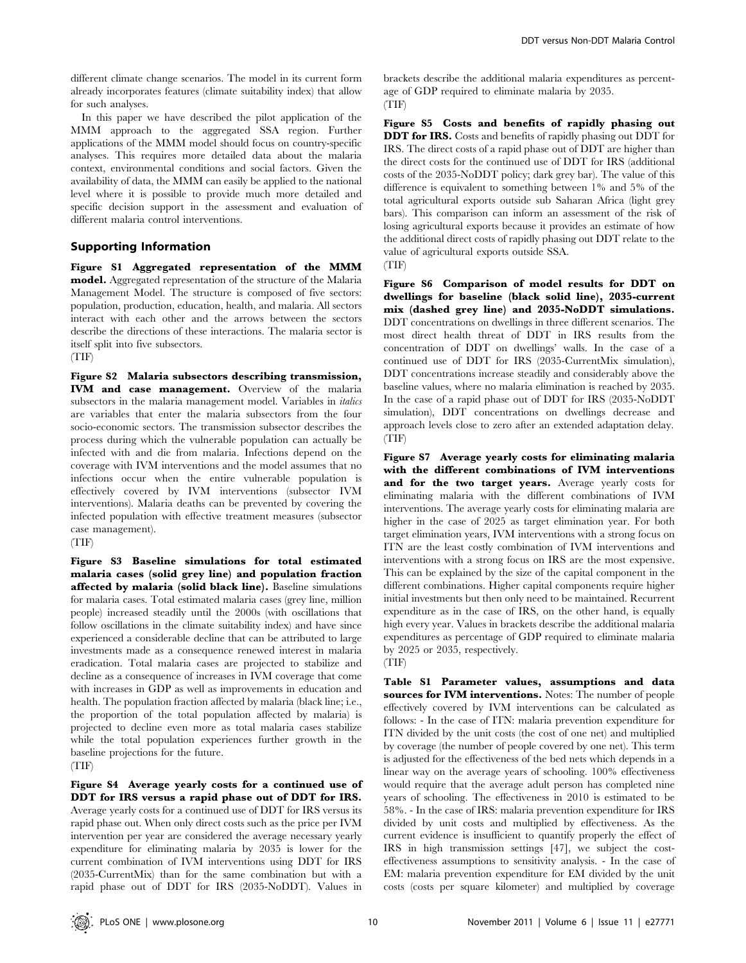different climate change scenarios. The model in its current form already incorporates features (climate suitability index) that allow for such analyses.

In this paper we have described the pilot application of the MMM approach to the aggregated SSA region. Further applications of the MMM model should focus on country-specific analyses. This requires more detailed data about the malaria context, environmental conditions and social factors. Given the availability of data, the MMM can easily be applied to the national level where it is possible to provide much more detailed and specific decision support in the assessment and evaluation of different malaria control interventions.

## Supporting Information

Figure S1 Aggregated representation of the MMM model. Aggregated representation of the structure of the Malaria Management Model. The structure is composed of five sectors: population, production, education, health, and malaria. All sectors interact with each other and the arrows between the sectors describe the directions of these interactions. The malaria sector is itself split into five subsectors. (TIF)

Figure S2 Malaria subsectors describing transmission, IVM and case management. Overview of the malaria subsectors in the malaria management model. Variables in italics are variables that enter the malaria subsectors from the four socio-economic sectors. The transmission subsector describes the process during which the vulnerable population can actually be infected with and die from malaria. Infections depend on the coverage with IVM interventions and the model assumes that no infections occur when the entire vulnerable population is effectively covered by IVM interventions (subsector IVM interventions). Malaria deaths can be prevented by covering the infected population with effective treatment measures (subsector case management).

## (TIF)

Figure S3 Baseline simulations for total estimated malaria cases (solid grey line) and population fraction affected by malaria (solid black line). Baseline simulations for malaria cases. Total estimated malaria cases (grey line, million people) increased steadily until the 2000s (with oscillations that follow oscillations in the climate suitability index) and have since experienced a considerable decline that can be attributed to large investments made as a consequence renewed interest in malaria eradication. Total malaria cases are projected to stabilize and decline as a consequence of increases in IVM coverage that come with increases in GDP as well as improvements in education and health. The population fraction affected by malaria (black line; i.e., the proportion of the total population affected by malaria) is projected to decline even more as total malaria cases stabilize while the total population experiences further growth in the baseline projections for the future.

(TIF)

Figure S4 Average yearly costs for a continued use of DDT for IRS versus a rapid phase out of DDT for IRS. Average yearly costs for a continued use of DDT for IRS versus its rapid phase out. When only direct costs such as the price per IVM intervention per year are considered the average necessary yearly expenditure for eliminating malaria by 2035 is lower for the current combination of IVM interventions using DDT for IRS (2035-CurrentMix) than for the same combination but with a rapid phase out of DDT for IRS (2035-NoDDT). Values in brackets describe the additional malaria expenditures as percentage of GDP required to eliminate malaria by 2035. (TIF)

Figure S5 Costs and benefits of rapidly phasing out DDT for IRS. Costs and benefits of rapidly phasing out DDT for IRS. The direct costs of a rapid phase out of DDT are higher than the direct costs for the continued use of DDT for IRS (additional costs of the 2035-NoDDT policy; dark grey bar). The value of this difference is equivalent to something between 1% and 5% of the total agricultural exports outside sub Saharan Africa (light grey bars). This comparison can inform an assessment of the risk of losing agricultural exports because it provides an estimate of how the additional direct costs of rapidly phasing out DDT relate to the value of agricultural exports outside SSA.

(TIF)

Figure S6 Comparison of model results for DDT on dwellings for baseline (black solid line), 2035-current mix (dashed grey line) and 2035-NoDDT simulations. DDT concentrations on dwellings in three different scenarios. The most direct health threat of DDT in IRS results from the concentration of DDT on dwellings' walls. In the case of a continued use of DDT for IRS (2035-CurrentMix simulation), DDT concentrations increase steadily and considerably above the baseline values, where no malaria elimination is reached by 2035. In the case of a rapid phase out of DDT for IRS (2035-NoDDT simulation), DDT concentrations on dwellings decrease and approach levels close to zero after an extended adaptation delay. (TIF)

Figure S7 Average yearly costs for eliminating malaria with the different combinations of IVM interventions and for the two target years. Average yearly costs for eliminating malaria with the different combinations of IVM interventions. The average yearly costs for eliminating malaria are higher in the case of 2025 as target elimination year. For both target elimination years, IVM interventions with a strong focus on ITN are the least costly combination of IVM interventions and interventions with a strong focus on IRS are the most expensive. This can be explained by the size of the capital component in the different combinations. Higher capital components require higher initial investments but then only need to be maintained. Recurrent expenditure as in the case of IRS, on the other hand, is equally high every year. Values in brackets describe the additional malaria expenditures as percentage of GDP required to eliminate malaria by 2025 or 2035, respectively.

(TIF)

Table S1 Parameter values, assumptions and data sources for IVM interventions. Notes: The number of people effectively covered by IVM interventions can be calculated as follows: - In the case of ITN: malaria prevention expenditure for ITN divided by the unit costs (the cost of one net) and multiplied by coverage (the number of people covered by one net). This term is adjusted for the effectiveness of the bed nets which depends in a linear way on the average years of schooling. 100% effectiveness would require that the average adult person has completed nine years of schooling. The effectiveness in 2010 is estimated to be 58%. - In the case of IRS: malaria prevention expenditure for IRS divided by unit costs and multiplied by effectiveness. As the current evidence is insufficient to quantify properly the effect of IRS in high transmission settings [47], we subject the costeffectiveness assumptions to sensitivity analysis. - In the case of EM: malaria prevention expenditure for EM divided by the unit costs (costs per square kilometer) and multiplied by coverage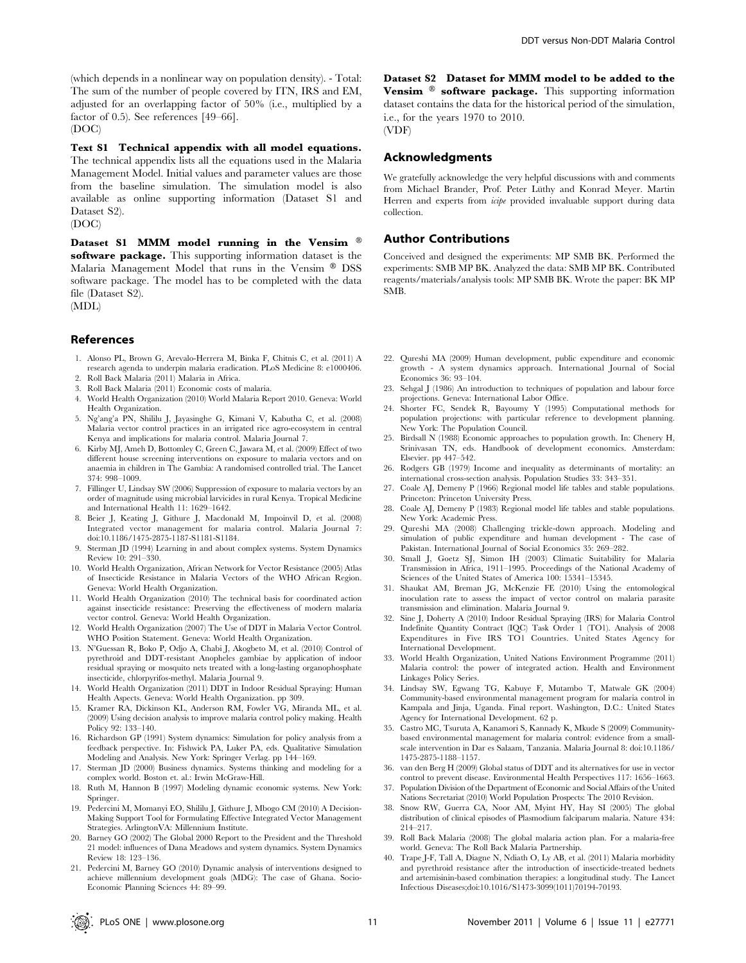(which depends in a nonlinear way on population density). - Total: The sum of the number of people covered by ITN, IRS and EM, adjusted for an overlapping factor of 50% (i.e., multiplied by a factor of 0.5). See references [49–66].

(DOC)

Text S1 Technical appendix with all model equations. The technical appendix lists all the equations used in the Malaria Management Model. Initial values and parameter values are those from the baseline simulation. The simulation model is also available as online supporting information (Dataset S1 and Dataset S2). (DOC)

Dataset S1 MMM model running in the Vensim ® software package. This supporting information dataset is the Malaria Management Model that runs in the Vensim ® DSS software package. The model has to be completed with the data file (Dataset S2).

(MDL)

## References

- 1. Alonso PL, Brown G, Arevalo-Herrera M, Binka F, Chitnis C, et al. (2011) A research agenda to underpin malaria eradication. PLoS Medicine 8: e1000406.
- 2. Roll Back Malaria (2011) Malaria in Africa.
- 3. Roll Back Malaria (2011) Economic costs of malaria. 4. World Health Organization (2010) World Malaria Report 2010. Geneva: World
- Health Organization. 5. Ng'ang'a PN, Shililu J, Jayasinghe G, Kimani V, Kabutha C, et al. (2008)
- Malaria vector control practices in an irrigated rice agro-ecosystem in central Kenya and implications for malaria control. Malaria Journal 7.
- 6. Kirby MJ, Ameh D, Bottomley C, Green C, Jawara M, et al. (2009) Effect of two different house screening interventions on exposure to malaria vectors and on anaemia in children in The Gambia: A randomised controlled trial. The Lancet 374: 998–1009.
- 7. Fillinger U, Lindsay SW (2006) Suppression of exposure to malaria vectors by an order of magnitude using microbial larvicides in rural Kenya. Tropical Medicine and International Health 11: 1629–1642.
- 8. Beier J, Keating J, Githure J, Macdonald M, Impoinvil D, et al. (2008) Integrated vector management for malaria control. Malaria Journal 7: doi:10.1186/1475-2875-1187-S1181-S1184.
- Sterman JD (1994) Learning in and about complex systems. System Dynamics Review 10: 291–330.
- 10. World Health Organization, African Network for Vector Resistance (2005) Atlas of Insecticide Resistance in Malaria Vectors of the WHO African Region. Geneva: World Health Organization.
- 11. World Health Organization (2010) The technical basis for coordinated action against insecticide resistance: Preserving the effectiveness of modern malaria vector control. Geneva: World Health Organization.
- 12. World Health Organization (2007) The Use of DDT in Malaria Vector Control. WHO Position Statement. Geneva: World Health Organization.
- 13. N'Guessan R, Boko P, Odjo A, Chabi J, Akogbeto M, et al. (2010) Control of pyrethroid and DDT-resistant Anopheles gambiae by application of indoor residual spraying or mosquito nets treated with a long-lasting organophosphate insecticide, chlorpyrifos-methyl. Malaria Journal 9.
- 14. World Health Organization (2011) DDT in Indoor Residual Spraying: Human Health Aspects. Geneva: World Health Organization. pp 309.
- 15. Kramer RA, Dickinson KL, Anderson RM, Fowler VG, Miranda ML, et al. (2009) Using decision analysis to improve malaria control policy making. Health Policy 92: 133–140.
- 16. Richardson GP (1991) System dynamics: Simulation for policy analysis from a feedback perspective. In: Fishwick PA, Luker PA, eds. Qualitative Simulation Modeling and Analysis. New York: Springer Verlag. pp 144–169.
- 17. Sterman JD (2000) Business dynamics. Systems thinking and modeling for a complex world. Boston et. al.: Irwin McGraw-Hill.
- 18. Ruth M, Hannon B (1997) Modeling dynamic economic systems. New York: Springer.
- 19. Pedercini M, Momanyi EO, Shililu J, Githure J, Mbogo CM (2010) A Decision-Making Support Tool for Formulating Effective Integrated Vector Management Strategies. ArlingtonVA: Millennium Institute.
- 20. Barney GO (2002) The Global 2000 Report to the President and the Threshold 21 model: influences of Dana Meadows and system dynamics. System Dynamics Review 18: 123–136.
- 21. Pedercini M, Barney GO (2010) Dynamic analysis of interventions designed to achieve millennium development goals (MDG): The case of Ghana. Socio-Economic Planning Sciences 44: 89–99.

Dataset S2 Dataset for MMM model to be added to the Vensim  $\mathbf{\Theta}$  software package. This supporting information dataset contains the data for the historical period of the simulation, i.e., for the years 1970 to 2010. (VDF)

## Acknowledgments

We gratefully acknowledge the very helpful discussions with and comments from Michael Brander, Prof. Peter Lüthy and Konrad Meyer. Martin Herren and experts from *icipe* provided invaluable support during data collection.

## Author Contributions

Conceived and designed the experiments: MP SMB BK. Performed the experiments: SMB MP BK. Analyzed the data: SMB MP BK. Contributed reagents/materials/analysis tools: MP SMB BK. Wrote the paper: BK MP SMB.

- 22. Qureshi MA (2009) Human development, public expenditure and economic growth - A system dynamics approach. International Journal of Social Economics 36: 93–104.
- 23. Sehgal J (1986) An introduction to techniques of population and labour force projections. Geneva: International Labor Office.
- 24. Shorter FC, Sendek R, Bayoumy Y (1995) Computational methods for population projections: with particular reference to development planning. New York: The Population Council.
- 25. Birdsall N (1988) Economic approaches to population growth. In: Chenery H, Srinivasan TN, eds. Handbook of development economics. Amsterdam: Elsevier. pp 447–542.
- 26. Rodgers GB (1979) Income and inequality as determinants of mortality: an international cross-section analysis. Population Studies 33: 343–351.
- 27. Coale AJ, Demeny P (1966) Regional model life tables and stable populations. Princeton: Princeton University Press.
- 28. Coale AJ, Demeny P (1983) Regional model life tables and stable populations. New York: Academic Press.
- 29. Qureshi MA (2008) Challenging trickle-down approach. Modeling and simulation of public expenditure and human development - The case of Pakistan. International Journal of Social Economics 35: 269–282.
- 30. Small J, Goetz SJ, Simon IH (2003) Climatic Suitability for Malaria Transmission in Africa, 1911–1995. Proceedings of the National Academy of Sciences of the United States of America 100: 15341–15345.
- 31. Shaukat AM, Breman JG, McKenzie FE (2010) Using the entomological inoculation rate to assess the impact of vector control on malaria parasite transmission and elimination. Malaria Journal 9.
- 32. Sine J, Doherty A (2010) Indoor Residual Spraying (IRS) for Malaria Control Indefinite Quantity Contract (IQC) Task Order 1 (TO1). Analysis of 2008 Expenditures in Five IRS TO1 Countries. United States Agency for International Development.
- 33. World Health Organization, United Nations Environment Programme (2011) Malaria control: the power of integrated action. Health and Environment Linkages Policy Series.
- 34. Lindsay SW, Egwang TG, Kabuye F, Mutambo T, Matwale GK (2004) Community-based environmental management program for malaria control in Kampala and Jinja, Uganda. Final report. Washington, D.C.: United States Agency for International Development. 62 p.
- 35. Castro MC, Tsuruta A, Kanamori S, Kannady K, Mkude S (2009) Communitybased environmental management for malaria control: evidence from a smallscale intervention in Dar es Salaam, Tanzania. Malaria Journal 8: doi:10.1186/ 1475-2875-1188–1157.
- 36. van den Berg H (2009) Global status of DDT and its alternatives for use in vector control to prevent disease. Environmental Health Perspectives 117: 1656–1663.
- 37. Population Division of the Department of Economic and Social Affairs of the United Nations Secretariat (2010) World Population Prospects: The 2010 Revision.
- 38. Snow RW, Guerra CA, Noor AM, Myint HY, Hay SI (2005) The global distribution of clinical episodes of Plasmodium falciparum malaria. Nature 434: 214–217.
- 39. Roll Back Malaria (2008) The global malaria action plan. For a malaria-free world. Geneva: The Roll Back Malaria Partnership.
- 40. Trape J-F, Tall A, Diagne N, Ndiath O, Ly AB, et al. (2011) Malaria morbidity and pyrethroid resistance after the introduction of insecticide-treated bednets and artemisinin-based combination therapies: a longitudinal study. The Lancet Infectious Diseases;doi:10.1016/S1473-3099(1011)70194-70193.